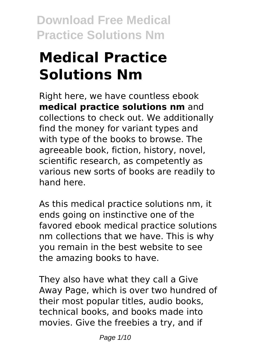# **Medical Practice Solutions Nm**

Right here, we have countless ebook **medical practice solutions nm** and collections to check out. We additionally find the money for variant types and with type of the books to browse. The agreeable book, fiction, history, novel, scientific research, as competently as various new sorts of books are readily to hand here.

As this medical practice solutions nm, it ends going on instinctive one of the favored ebook medical practice solutions nm collections that we have. This is why you remain in the best website to see the amazing books to have.

They also have what they call a Give Away Page, which is over two hundred of their most popular titles, audio books, technical books, and books made into movies. Give the freebies a try, and if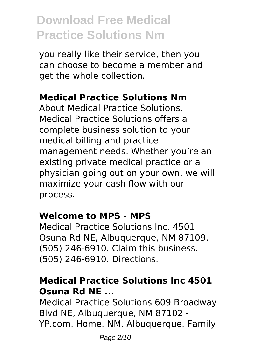you really like their service, then you can choose to become a member and get the whole collection.

#### **Medical Practice Solutions Nm**

About Medical Practice Solutions. Medical Practice Solutions offers a complete business solution to your medical billing and practice management needs. Whether you're an existing private medical practice or a physician going out on your own, we will maximize your cash flow with our process.

#### **Welcome to MPS - MPS**

Medical Practice Solutions Inc. 4501 Osuna Rd NE, Albuquerque, NM 87109. (505) 246-6910. Claim this business. (505) 246-6910. Directions.

#### **Medical Practice Solutions Inc 4501 Osuna Rd NE ...**

Medical Practice Solutions 609 Broadway Blvd NE, Albuquerque, NM 87102 - YP.com. Home. NM. Albuquerque. Family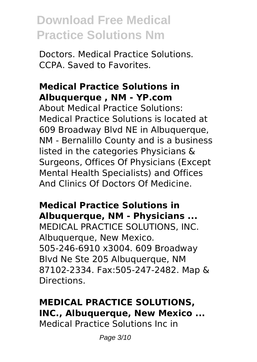Doctors. Medical Practice Solutions. CCPA. Saved to Favorites.

#### **Medical Practice Solutions in Albuquerque , NM - YP.com**

About Medical Practice Solutions: Medical Practice Solutions is located at 609 Broadway Blvd NE in Albuquerque, NM - Bernalillo County and is a business listed in the categories Physicians & Surgeons, Offices Of Physicians (Except Mental Health Specialists) and Offices And Clinics Of Doctors Of Medicine.

#### **Medical Practice Solutions in Albuquerque, NM - Physicians ...**

MEDICAL PRACTICE SOLUTIONS, INC. Albuquerque, New Mexico. 505-246-6910 x3004. 609 Broadway Blvd Ne Ste 205 Albuquerque, NM 87102-2334. Fax:505-247-2482. Map & Directions.

### **MEDICAL PRACTICE SOLUTIONS, INC., Albuquerque, New Mexico ...**

Medical Practice Solutions Inc in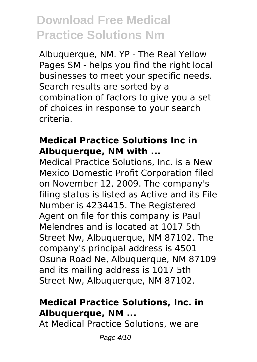Albuquerque, NM. YP - The Real Yellow Pages SM - helps you find the right local businesses to meet your specific needs. Search results are sorted by a combination of factors to give you a set of choices in response to your search criteria.

#### **Medical Practice Solutions Inc in Albuquerque, NM with ...**

Medical Practice Solutions, Inc. is a New Mexico Domestic Profit Corporation filed on November 12, 2009. The company's filing status is listed as Active and its File Number is 4234415. The Registered Agent on file for this company is Paul Melendres and is located at 1017 5th Street Nw, Albuquerque, NM 87102. The company's principal address is 4501 Osuna Road Ne, Albuquerque, NM 87109 and its mailing address is 1017 5th Street Nw, Albuquerque, NM 87102.

#### **Medical Practice Solutions, Inc. in Albuquerque, NM ...**

At Medical Practice Solutions, we are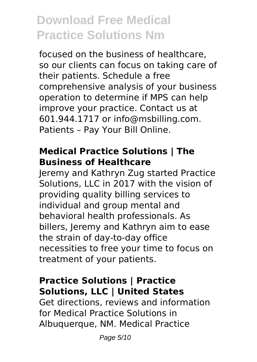focused on the business of healthcare, so our clients can focus on taking care of their patients. Schedule a free comprehensive analysis of your business operation to determine if MPS can help improve your practice. Contact us at 601.944.1717 or info@msbilling.com. Patients – Pay Your Bill Online.

#### **Medical Practice Solutions | The Business of Healthcare**

Jeremy and Kathryn Zug started Practice Solutions, LLC in 2017 with the vision of providing quality billing services to individual and group mental and behavioral health professionals. As billers, Jeremy and Kathryn aim to ease the strain of day-to-day office necessities to free your time to focus on treatment of your patients.

#### **Practice Solutions | Practice Solutions, LLC | United States**

Get directions, reviews and information for Medical Practice Solutions in Albuquerque, NM. Medical Practice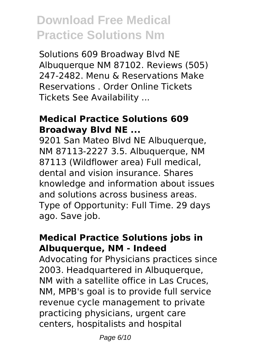Solutions 609 Broadway Blvd NE Albuquerque NM 87102. Reviews (505) 247-2482. Menu & Reservations Make Reservations . Order Online Tickets Tickets See Availability ...

#### **Medical Practice Solutions 609 Broadway Blvd NE ...**

9201 San Mateo Blvd NE Albuquerque, NM 87113-2227 3.5. Albuquerque, NM 87113 (Wildflower area) Full medical, dental and vision insurance. Shares knowledge and information about issues and solutions across business areas. Type of Opportunity: Full Time. 29 days ago. Save job.

#### **Medical Practice Solutions jobs in Albuquerque, NM - Indeed**

Advocating for Physicians practices since 2003. Headquartered in Albuquerque, NM with a satellite office in Las Cruces, NM, MPB's goal is to provide full service revenue cycle management to private practicing physicians, urgent care centers, hospitalists and hospital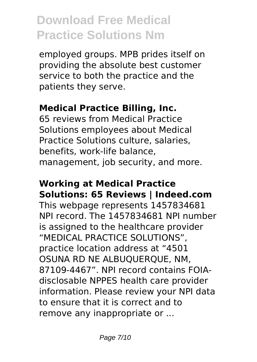employed groups. MPB prides itself on providing the absolute best customer service to both the practice and the patients they serve.

#### **Medical Practice Billing, Inc.**

65 reviews from Medical Practice Solutions employees about Medical Practice Solutions culture, salaries, benefits, work-life balance, management, job security, and more.

#### **Working at Medical Practice Solutions: 65 Reviews | Indeed.com**

This webpage represents 1457834681 NPI record. The 1457834681 NPI number is assigned to the healthcare provider "MEDICAL PRACTICE SOLUTIONS", practice location address at "4501 OSUNA RD NE ALBUQUERQUE, NM, 87109-4467". NPI record contains FOIAdisclosable NPPES health care provider information. Please review your NPI data to ensure that it is correct and to remove any inappropriate or ...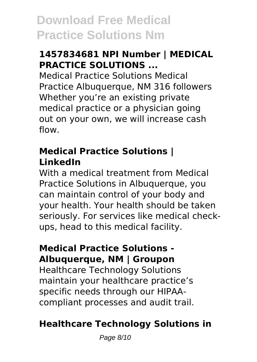#### **1457834681 NPI Number | MEDICAL PRACTICE SOLUTIONS ...**

Medical Practice Solutions Medical Practice Albuquerque, NM 316 followers Whether you're an existing private medical practice or a physician going out on your own, we will increase cash flow.

#### **Medical Practice Solutions | LinkedIn**

With a medical treatment from Medical Practice Solutions in Albuquerque, you can maintain control of your body and your health. Your health should be taken seriously. For services like medical checkups, head to this medical facility.

#### **Medical Practice Solutions - Albuquerque, NM | Groupon**

Healthcare Technology Solutions maintain your healthcare practice's specific needs through our HIPAAcompliant processes and audit trail.

### **Healthcare Technology Solutions in**

Page 8/10